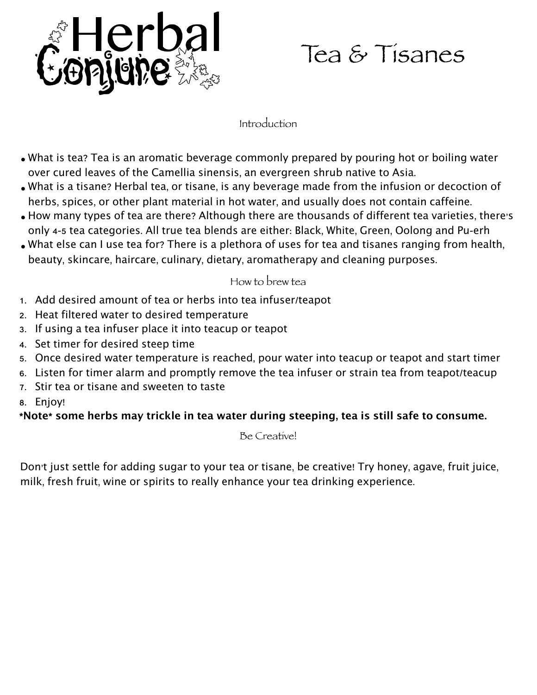

## Tea & Tisanes

## Introduction

- What is tea? Tea is an aromatic beverage commonly prepared by pouring hot or boiling water over cured leaves of the Camellia sinensis, an evergreen shrub native to Asia.
- What is a tisane? Herbal tea, or tisane, is any beverage made from the infusion or decoction of herbs, spices, or other plant material in hot water, and usually does not contain caffeine.
- How many types of tea are there? Although there are thousands of different tea varieties, there's only 4-5 tea categories. All true tea blends are either: Black, White, Green, Oolong and Pu-erh
- What else can I use tea for? There is a plethora of uses for tea and tisanes ranging from health, beauty, skincare, haircare, culinary, dietary, aromatherapy and cleaning purposes.

## How to brew tea

- 1. Add desired amount of tea or herbs into tea infuser/teapot
- 2. Heat filtered water to desired temperature
- 3. If using a tea infuser place it into teacup or teapot
- 4. Set timer for desired steep time
- 5. Once desired water temperature is reached, pour water into teacup or teapot and start timer
- 6. Listen for timer alarm and promptly remove the tea infuser or strain tea from teapot/teacup
- 7. Stir tea or tisane and sweeten to taste
- 8. Enjoy!

## \*Note\* some herbs may trickle in tea water during steeping, tea is still safe to consume.

Be Creative!

Don't just settle for adding sugar to your tea or tisane, be creative! Try honey, agave, fruit juice, milk, fresh fruit, wine or spirits to really enhance your tea drinking experience.